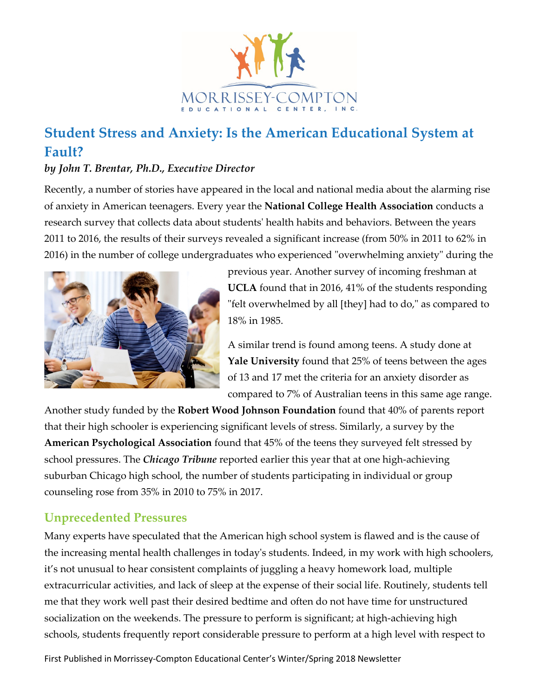

# **Student Stress and Anxiety: Is the American Educational System at Fault?**

#### *by John T. Brentar, Ph.D., Executive Director*

Recently, a number of stories have appeared in the local and national media about the alarming rise of anxiety in American teenagers. Every year the **National College Health Association** conducts a research survey that collects data about students' health habits and behaviors. Between the years 2011 to 2016, the results of their surveys revealed a significant increase (from 50% in 2011 to 62% in 2016) in the number of college undergraduates who experienced "overwhelming anxiety" during the



previous year. Another survey of incoming freshman at **UCLA** found that in 2016, 41% of the students responding "felt overwhelmed by all [they] had to do," as compared to 18% in 1985.

A similar trend is found among teens. A study done at **Yale University** found that 25% of teens between the ages of 13 and 17 met the criteria for an anxiety disorder as compared to 7% of Australian teens in this same age range.

Another study funded by the **Robert Wood Johnson Foundation** found that 40% of parents report that their high schooler is experiencing significant levels of stress. Similarly, a survey by the **American Psychological Association** found that 45% of the teens they surveyed felt stressed by school pressures. The *Chicago Tribune* reported earlier this year that at one high-achieving suburban Chicago high school, the number of students participating in individual or group counseling rose from 35% in 2010 to 75% in 2017.

## **Unprecedented Pressures**

Many experts have speculated that the American high school system is flawed and is the cause of the increasing mental health challenges in today's students. Indeed, in my work with high schoolers, it's not unusual to hear consistent complaints of juggling a heavy homework load, multiple extracurricular activities, and lack of sleep at the expense of their social life. Routinely, students tell me that they work well past their desired bedtime and often do not have time for unstructured socialization on the weekends. The pressure to perform is significant; at high-achieving high schools, students frequently report considerable pressure to perform at a high level with respect to

First Published in Morrissey-Compton Educational Center's Winter/Spring 2018 Newsletter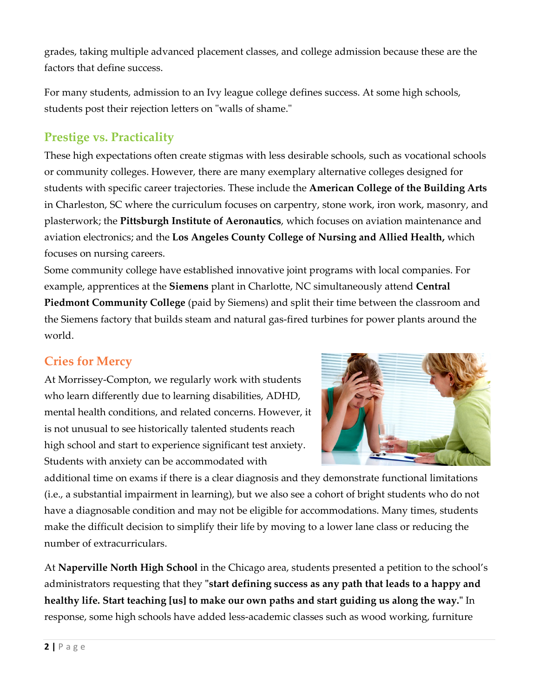grades, taking multiple advanced placement classes, and college admission because these are the factors that define success.

For many students, admission to an Ivy league college defines success. At some high schools, students post their rejection letters on "walls of shame."

### **Prestige vs. Practicality**

These high expectations often create stigmas with less desirable schools, such as vocational schools or community colleges. However, there are many exemplary alternative colleges designed for students with specific career trajectories. These include the **American College of the Building Arts** in Charleston, SC where the curriculum focuses on carpentry, stone work, iron work, masonry, and plasterwork; the **Pittsburgh Institute of Aeronautics**, which focuses on aviation maintenance and aviation electronics; and the **Los Angeles County College of Nursing and Allied Health,** which focuses on nursing careers.

Some community college have established innovative joint programs with local companies. For example, apprentices at the **Siemens** plant in Charlotte, NC simultaneously attend **Central Piedmont Community College** (paid by Siemens) and split their time between the classroom and the Siemens factory that builds steam and natural gas-fired turbines for power plants around the world.

#### **Cries for Mercy**

At Morrissey-Compton, we regularly work with students who learn differently due to learning disabilities, ADHD, mental health conditions, and related concerns. However, it is not unusual to see historically talented students reach high school and start to experience significant test anxiety. Students with anxiety can be accommodated with



additional time on exams if there is a clear diagnosis and they demonstrate functional limitations (i.e., a substantial impairment in learning), but we also see a cohort of bright students who do not have a diagnosable condition and may not be eligible for accommodations. Many times, students make the difficult decision to simplify their life by moving to a lower lane class or reducing the number of extracurriculars.

At **Naperville North High School** in the Chicago area, students presented a petition to the school's administrators requesting that they **"start defining success as any path that leads to a happy and healthy life. Start teaching [us] to make our own paths and start guiding us along the way."** In response, some high schools have added less-academic classes such as wood working, furniture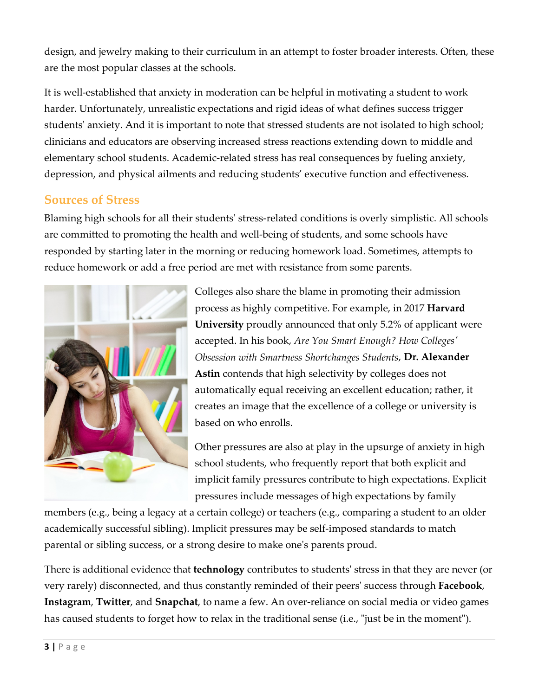design, and jewelry making to their curriculum in an attempt to foster broader interests. Often, these are the most popular classes at the schools.

It is well-established that anxiety in moderation can be helpful in motivating a student to work harder. Unfortunately, unrealistic expectations and rigid ideas of what defines success trigger students' anxiety. And it is important to note that stressed students are not isolated to high school; clinicians and educators are observing increased stress reactions extending down to middle and elementary school students. Academic-related stress has real consequences by fueling anxiety, depression, and physical ailments and reducing students' executive function and effectiveness.

#### **Sources of Stress**

Blaming high schools for all their students' stress-related conditions is overly simplistic. All schools are committed to promoting the health and well-being of students, and some schools have responded by starting later in the morning or reducing homework load. Sometimes, attempts to reduce homework or add a free period are met with resistance from some parents.



Colleges also share the blame in promoting their admission process as highly competitive. For example, in 2017 **Harvard University** proudly announced that only 5.2% of applicant were accepted. In his book, *Are You Smart Enough? How Colleges' Obsession with Smartness Shortchanges Students*, **Dr. Alexander Astin** contends that high selectivity by colleges does not automatically equal receiving an excellent education; rather, it creates an image that the excellence of a college or university is based on who enrolls.

Other pressures are also at play in the upsurge of anxiety in high school students, who frequently report that both explicit and implicit family pressures contribute to high expectations. Explicit pressures include messages of high expectations by family

members (e.g., being a legacy at a certain college) or teachers (e.g., comparing a student to an older academically successful sibling). Implicit pressures may be self-imposed standards to match parental or sibling success, or a strong desire to make one's parents proud.

There is additional evidence that **technology** contributes to students' stress in that they are never (or very rarely) disconnected, and thus constantly reminded of their peers' success through **Facebook**, **Instagram**, **Twitter**, and **Snapchat**, to name a few. An over-reliance on social media or video games has caused students to forget how to relax in the traditional sense (i.e., "just be in the moment").